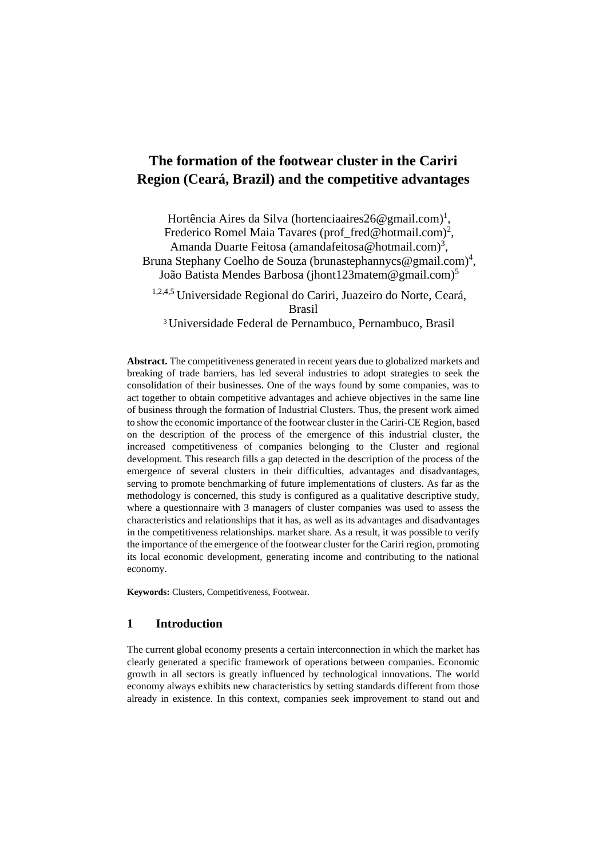# **The formation of the footwear cluster in the Cariri Region (Ceará, Brazil) and the competitive advantages**

Hortência Aires da Silva [\(hortenciaaires26@gmail.com\)](mailto:hortenciaaires26@gmail.com)<sup>1</sup>, Frederico Romel Maia Tavares (prof\_fred@hotmail.com)<sup>2</sup>, Amanda Duarte Feitosa (amandafeitosa@hotmail.com)<sup>3</sup>, Bruna Stephany Coelho de Souza (brunastephannycs@gmail.com)<sup>4</sup>, João Batista Mendes Barbosa [\(jhont123matem@gmail.com\)](mailto:jhont123matem@gmail.com)5)<sup>5</sup> 1,2,4,5 Universidade Regional do Cariri, Juazeiro do Norte, Ceará, Brasil <sup>3</sup>Universidade Federal de Pernambuco, Pernambuco, Brasil

**Abstract.** The competitiveness generated in recent years due to globalized markets and breaking of trade barriers, has led several industries to adopt strategies to seek the consolidation of their businesses. One of the ways found by some companies, was to act together to obtain competitive advantages and achieve objectives in the same line of business through the formation of Industrial Clusters. Thus, the present work aimed to show the economic importance of the footwear cluster in the Cariri-CE Region, based on the description of the process of the emergence of this industrial cluster, the increased competitiveness of companies belonging to the Cluster and regional development. This research fills a gap detected in the description of the process of the emergence of several clusters in their difficulties, advantages and disadvantages, serving to promote benchmarking of future implementations of clusters. As far as the methodology is concerned, this study is configured as a qualitative descriptive study, where a questionnaire with 3 managers of cluster companies was used to assess the characteristics and relationships that it has, as well as its advantages and disadvantages in the competitiveness relationships. market share. As a result, it was possible to verify the importance of the emergence of the footwear cluster for the Cariri region, promoting its local economic development, generating income and contributing to the national economy.

**Keywords:** Clusters, Competitiveness, Footwear.

## **1 Introduction**

The current global economy presents a certain interconnection in which the market has clearly generated a specific framework of operations between companies. Economic growth in all sectors is greatly influenced by technological innovations. The world economy always exhibits new characteristics by setting standards different from those already in existence. In this context, companies seek improvement to stand out and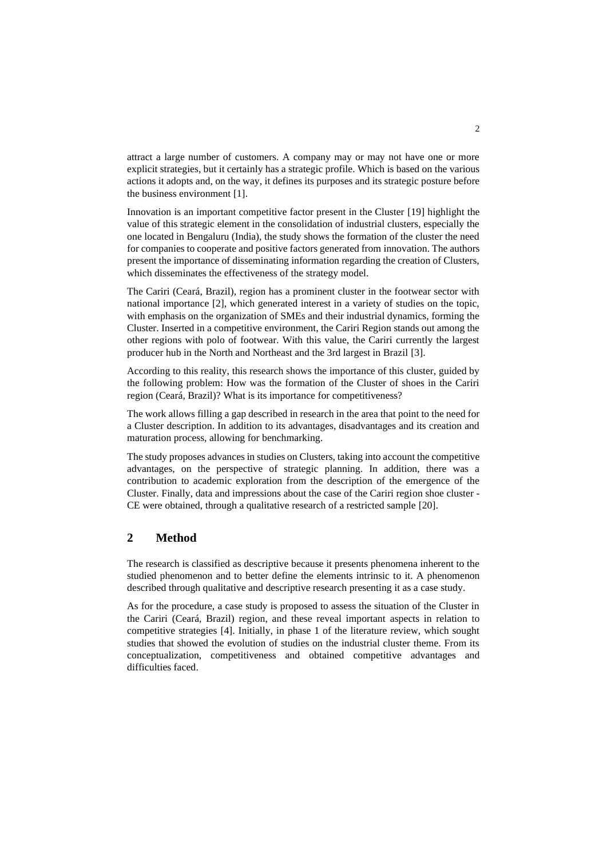attract a large number of customers. A company may or may not have one or more explicit strategies, but it certainly has a strategic profile. Which is based on the various actions it adopts and, on the way, it defines its purposes and its strategic posture before the business environment [1].

Innovation is an important competitive factor present in the Cluster [19] highlight the value of this strategic element in the consolidation of industrial clusters, especially the one located in Bengaluru (India), the study shows the formation of the cluster the need for companies to cooperate and positive factors generated from innovation. The authors present the importance of disseminating information regarding the creation of Clusters, which disseminates the effectiveness of the strategy model.

The Cariri (Ceará, Brazil), region has a prominent cluster in the footwear sector with national importance [2], which generated interest in a variety of studies on the topic, with emphasis on the organization of SMEs and their industrial dynamics, forming the Cluster. Inserted in a competitive environment, the Cariri Region stands out among the other regions with polo of footwear. With this value, the Cariri currently the largest producer hub in the North and Northeast and the 3rd largest in Brazil [3].

According to this reality, this research shows the importance of this cluster, guided by the following problem: How was the formation of the Cluster of shoes in the Cariri region (Ceará, Brazil)? What is its importance for competitiveness?

The work allows filling a gap described in research in the area that point to the need for a Cluster description. In addition to its advantages, disadvantages and its creation and maturation process, allowing for benchmarking.

The study proposes advances in studies on Clusters, taking into account the competitive advantages, on the perspective of strategic planning. In addition, there was a contribution to academic exploration from the description of the emergence of the Cluster. Finally, data and impressions about the case of the Cariri region shoe cluster - CE were obtained, through a qualitative research of a restricted sample [20].

# **2 Method**

The research is classified as descriptive because it presents phenomena inherent to the studied phenomenon and to better define the elements intrinsic to it. A phenomenon described through qualitative and descriptive research presenting it as a case study.

As for the procedure, a case study is proposed to assess the situation of the Cluster in the Cariri (Ceará, Brazil) region, and these reveal important aspects in relation to competitive strategies [4]. Initially, in phase 1 of the literature review, which sought studies that showed the evolution of studies on the industrial cluster theme. From its conceptualization, competitiveness and obtained competitive advantages and difficulties faced.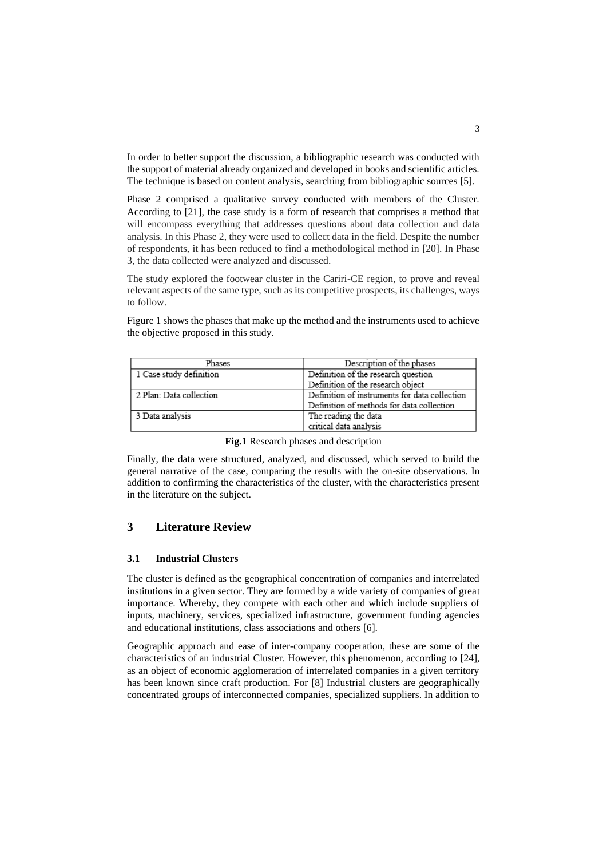In order to better support the discussion, a bibliographic research was conducted with the support of material already organized and developed in books and scientific articles. The technique is based on content analysis, searching from bibliographic sources [5].

Phase 2 comprised a qualitative survey conducted with members of the Cluster. According to [21], the case study is a form of research that comprises a method that will encompass everything that addresses questions about data collection and data analysis. In this Phase 2, they were used to collect data in the field. Despite the number of respondents, it has been reduced to find a methodological method in [20]. In Phase 3, the data collected were analyzed and discussed.

The study explored the footwear cluster in the Cariri-CE region, to prove and reveal relevant aspects of the same type, such as its competitive prospects, its challenges, ways to follow.

Figure 1 shows the phases that make up the method and the instruments used to achieve the objective proposed in this study.

| Phases                  | Description of the phases                     |
|-------------------------|-----------------------------------------------|
| 1 Case study definition | Definition of the research question           |
|                         | Definition of the research object             |
| 2 Plan: Data collection | Definition of instruments for data collection |
|                         | Definition of methods for data collection     |
| 3 Data analysis         | The reading the data                          |
|                         | critical data analysis                        |

| Fig.1 Research phases and description |  |  |  |  |  |  |
|---------------------------------------|--|--|--|--|--|--|
|---------------------------------------|--|--|--|--|--|--|

Finally, the data were structured, analyzed, and discussed, which served to build the general narrative of the case, comparing the results with the on-site observations. In addition to confirming the characteristics of the cluster, with the characteristics present in the literature on the subject.

### **3 Literature Review**

#### **3.1 Industrial Clusters**

The cluster is defined as the geographical concentration of companies and interrelated institutions in a given sector. They are formed by a wide variety of companies of great importance. Whereby, they compete with each other and which include suppliers of inputs, machinery, services, specialized infrastructure, government funding agencies and educational institutions, class associations and others [6].

Geographic approach and ease of inter-company cooperation, these are some of the characteristics of an industrial Cluster. However, this phenomenon, according to [24], as an object of economic agglomeration of interrelated companies in a given territory has been known since craft production. For [8] Industrial clusters are geographically concentrated groups of interconnected companies, specialized suppliers. In addition to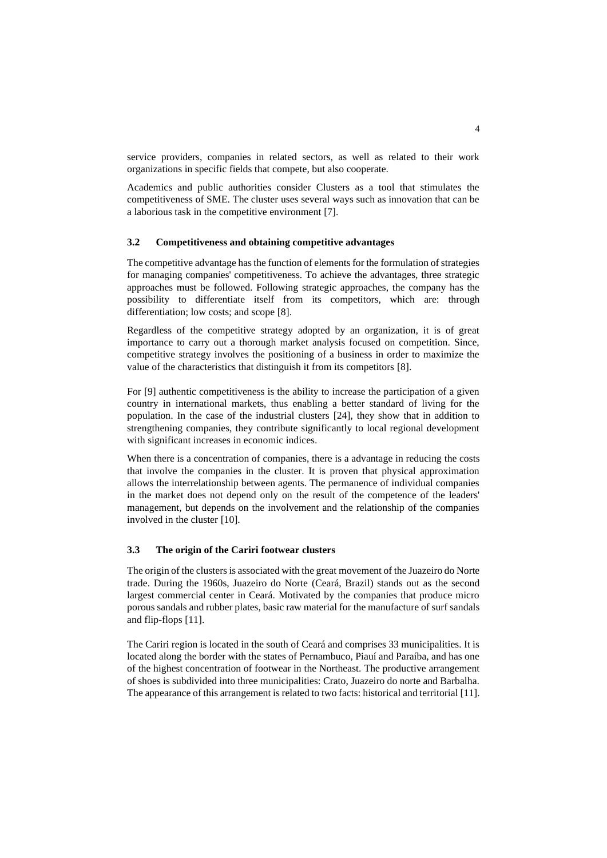service providers, companies in related sectors, as well as related to their work organizations in specific fields that compete, but also cooperate.

Academics and public authorities consider Clusters as a tool that stimulates the competitiveness of SME. The cluster uses several ways such as innovation that can be a laborious task in the competitive environment [7].

#### **3.2 Competitiveness and obtaining competitive advantages**

The competitive advantage has the function of elements for the formulation of strategies for managing companies' competitiveness. To achieve the advantages, three strategic approaches must be followed. Following strategic approaches, the company has the possibility to differentiate itself from its competitors, which are: through differentiation; low costs; and scope [8].

Regardless of the competitive strategy adopted by an organization, it is of great importance to carry out a thorough market analysis focused on competition. Since, competitive strategy involves the positioning of a business in order to maximize the value of the characteristics that distinguish it from its competitors [8].

For [9] authentic competitiveness is the ability to increase the participation of a given country in international markets, thus enabling a better standard of living for the population. In the case of the industrial clusters [24], they show that in addition to strengthening companies, they contribute significantly to local regional development with significant increases in economic indices.

When there is a concentration of companies, there is a advantage in reducing the costs that involve the companies in the cluster. It is proven that physical approximation allows the interrelationship between agents. The permanence of individual companies in the market does not depend only on the result of the competence of the leaders' management, but depends on the involvement and the relationship of the companies involved in the cluster [10].

#### **3.3 The origin of the Cariri footwear clusters**

The origin of the clusters is associated with the great movement of the Juazeiro do Norte trade. During the 1960s, Juazeiro do Norte (Ceará, Brazil) stands out as the second largest commercial center in Ceará. Motivated by the companies that produce micro porous sandals and rubber plates, basic raw material for the manufacture of surf sandals and flip-flops [11].

The Cariri region is located in the south of Ceará and comprises 33 municipalities. It is located along the border with the states of Pernambuco, Piauí and Paraíba, and has one of the highest concentration of footwear in the Northeast. The productive arrangement of shoes is subdivided into three municipalities: Crato, Juazeiro do norte and Barbalha. The appearance of this arrangement is related to two facts: historical and territorial [11].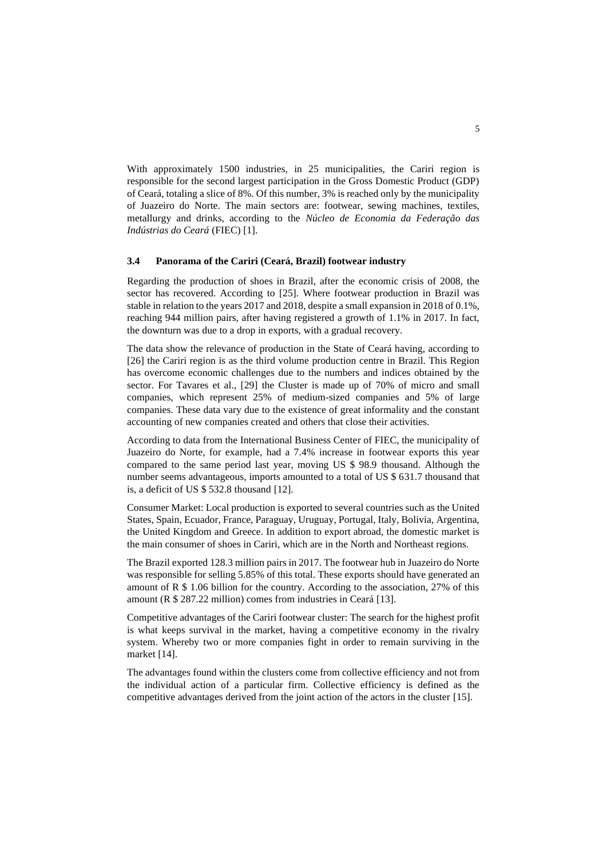With approximately 1500 industries, in 25 municipalities, the Cariri region is responsible for the second largest participation in the Gross Domestic Product (GDP) of Ceará, totaling a slice of 8%. Of this number, 3% is reached only by the municipality of Juazeiro do Norte. The main sectors are: footwear, sewing machines, textiles, metallurgy and drinks, according to the *Núcleo de Economia da Federação das Indústrias do Ceará* (FIEC) [1].

#### **3.4 Panorama of the Cariri (Ceará, Brazil) footwear industry**

Regarding the production of shoes in Brazil, after the economic crisis of 2008, the sector has recovered. According to [25]. Where footwear production in Brazil was stable in relation to the years 2017 and 2018, despite a small expansion in 2018 of 0.1%, reaching 944 million pairs, after having registered a growth of 1.1% in 2017. In fact, the downturn was due to a drop in exports, with a gradual recovery.

The data show the relevance of production in the State of Ceará having, according to [26] the Cariri region is as the third volume production centre in Brazil. This Region has overcome economic challenges due to the numbers and indices obtained by the sector. For Tavares et al., [29] the Cluster is made up of 70% of micro and small companies, which represent 25% of medium-sized companies and 5% of large companies. These data vary due to the existence of great informality and the constant accounting of new companies created and others that close their activities.

According to data from the International Business Center of FIEC, the municipality of Juazeiro do Norte, for example, had a 7.4% increase in footwear exports this year compared to the same period last year, moving US \$ 98.9 thousand. Although the number seems advantageous, imports amounted to a total of US \$ 631.7 thousand that is, a deficit of US \$ 532.8 thousand [12].

Consumer Market: Local production is exported to several countries such as the United States, Spain, Ecuador, France, Paraguay, Uruguay, Portugal, Italy, Bolivia, Argentina, the United Kingdom and Greece. In addition to export abroad, the domestic market is the main consumer of shoes in Cariri, which are in the North and Northeast regions.

The Brazil exported 128.3 million pairs in 2017. The footwear hub in Juazeiro do Norte was responsible for selling 5.85% of this total. These exports should have generated an amount of R \$ 1.06 billion for the country. According to the association, 27% of this amount (R \$ 287.22 million) comes from industries in Ceará [13].

Competitive advantages of the Cariri footwear cluster: The search for the highest profit is what keeps survival in the market, having a competitive economy in the rivalry system. Whereby two or more companies fight in order to remain surviving in the market [14].

The advantages found within the clusters come from collective efficiency and not from the individual action of a particular firm. Collective efficiency is defined as the competitive advantages derived from the joint action of the actors in the cluster [15].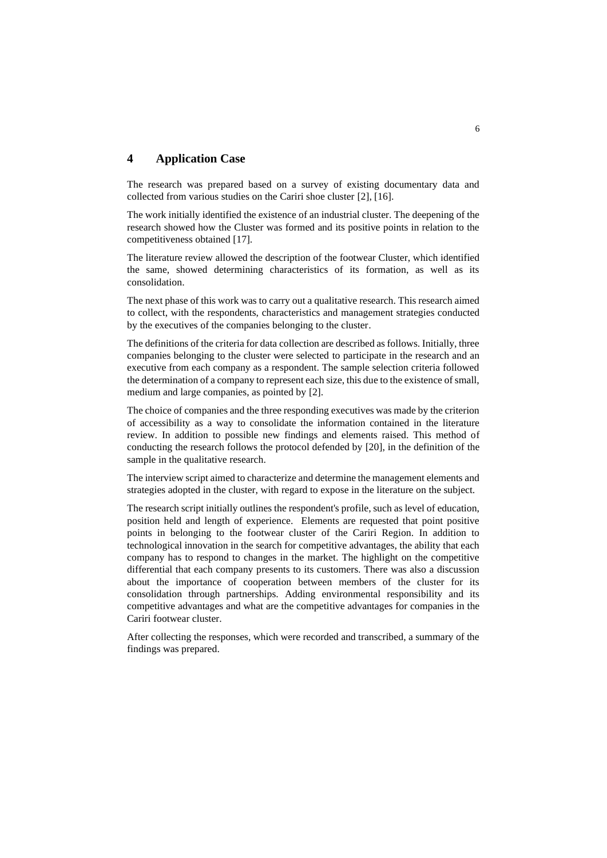### **4 Application Case**

The research was prepared based on a survey of existing documentary data and collected from various studies on the Cariri shoe cluster [2], [16].

The work initially identified the existence of an industrial cluster. The deepening of the research showed how the Cluster was formed and its positive points in relation to the competitiveness obtained [17].

The literature review allowed the description of the footwear Cluster, which identified the same, showed determining characteristics of its formation, as well as its consolidation.

The next phase of this work was to carry out a qualitative research. This research aimed to collect, with the respondents, characteristics and management strategies conducted by the executives of the companies belonging to the cluster.

The definitions of the criteria for data collection are described as follows. Initially, three companies belonging to the cluster were selected to participate in the research and an executive from each company as a respondent. The sample selection criteria followed the determination of a company to represent each size, this due to the existence of small, medium and large companies, as pointed by [2].

The choice of companies and the three responding executives was made by the criterion of accessibility as a way to consolidate the information contained in the literature review. In addition to possible new findings and elements raised. This method of conducting the research follows the protocol defended by [20], in the definition of the sample in the qualitative research.

The interview script aimed to characterize and determine the management elements and strategies adopted in the cluster, with regard to expose in the literature on the subject.

The research script initially outlines the respondent's profile, such as level of education, position held and length of experience. Elements are requested that point positive points in belonging to the footwear cluster of the Cariri Region. In addition to technological innovation in the search for competitive advantages, the ability that each company has to respond to changes in the market. The highlight on the competitive differential that each company presents to its customers. There was also a discussion about the importance of cooperation between members of the cluster for its consolidation through partnerships. Adding environmental responsibility and its competitive advantages and what are the competitive advantages for companies in the Cariri footwear cluster.

After collecting the responses, which were recorded and transcribed, a summary of the findings was prepared.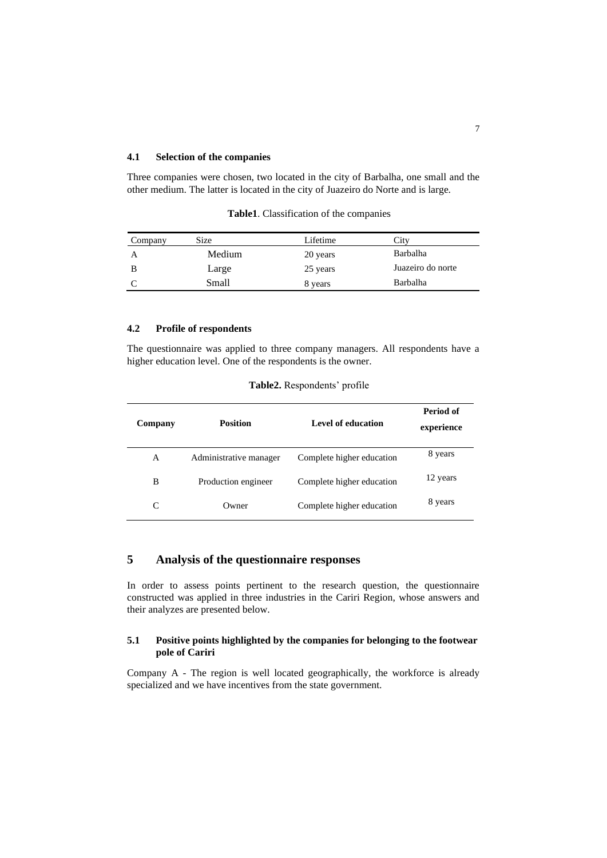#### **4.1 Selection of the companies**

Three companies were chosen, two located in the city of Barbalha, one small and the other medium. The latter is located in the city of Juazeiro do Norte and is large.

| Company | Size   | Lifetime | City              |
|---------|--------|----------|-------------------|
|         | Medium | 20 years | Barbalha          |
|         | Large  | 25 years | Juazeiro do norte |
|         | Small  | 8 years  | Barbalha          |

**Table1**. Classification of the companies

### **4.2 Profile of respondents**

The questionnaire was applied to three company managers. All respondents have a higher education level. One of the respondents is the owner.

| Company | <b>Position</b>        | Level of education        | Period of<br>experience |
|---------|------------------------|---------------------------|-------------------------|
| A       | Administrative manager | Complete higher education | 8 years                 |
| B       | Production engineer    | Complete higher education | 12 years                |
| C       | Owner                  | Complete higher education | 8 years                 |

# **5 Analysis of the questionnaire responses**

In order to assess points pertinent to the research question, the questionnaire constructed was applied in three industries in the Cariri Region, whose answers and their analyzes are presented below.

#### **5.1 Positive points highlighted by the companies for belonging to the footwear pole of Cariri**

Company A - The region is well located geographically, the workforce is already specialized and we have incentives from the state government.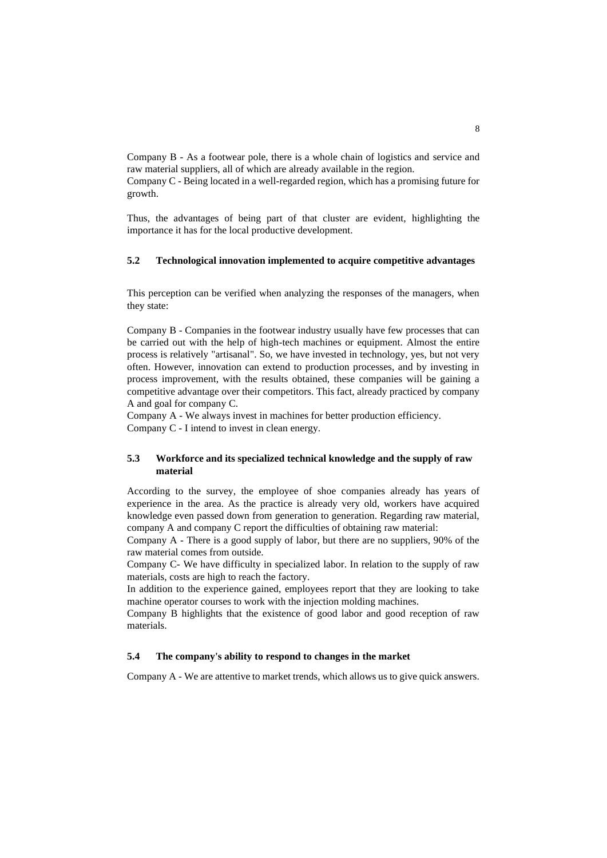Company B - As a footwear pole, there is a whole chain of logistics and service and raw material suppliers, all of which are already available in the region.

Company C - Being located in a well-regarded region, which has a promising future for growth.

Thus, the advantages of being part of that cluster are evident, highlighting the importance it has for the local productive development.

#### **5.2 Technological innovation implemented to acquire competitive advantages**

This perception can be verified when analyzing the responses of the managers, when they state:

Company B - Companies in the footwear industry usually have few processes that can be carried out with the help of high-tech machines or equipment. Almost the entire process is relatively "artisanal". So, we have invested in technology, yes, but not very often. However, innovation can extend to production processes, and by investing in process improvement, with the results obtained, these companies will be gaining a competitive advantage over their competitors. This fact, already practiced by company A and goal for company C.

Company A - We always invest in machines for better production efficiency. Company C - I intend to invest in clean energy.

#### **5.3 Workforce and its specialized technical knowledge and the supply of raw material**

According to the survey, the employee of shoe companies already has years of experience in the area. As the practice is already very old, workers have acquired knowledge even passed down from generation to generation. Regarding raw material, company A and company C report the difficulties of obtaining raw material:

Company A - There is a good supply of labor, but there are no suppliers, 90% of the raw material comes from outside.

Company C- We have difficulty in specialized labor. In relation to the supply of raw materials, costs are high to reach the factory.

In addition to the experience gained, employees report that they are looking to take machine operator courses to work with the injection molding machines.

Company B highlights that the existence of good labor and good reception of raw materials.

### **5.4 The company's ability to respond to changes in the market**

Company A - We are attentive to market trends, which allows us to give quick answers.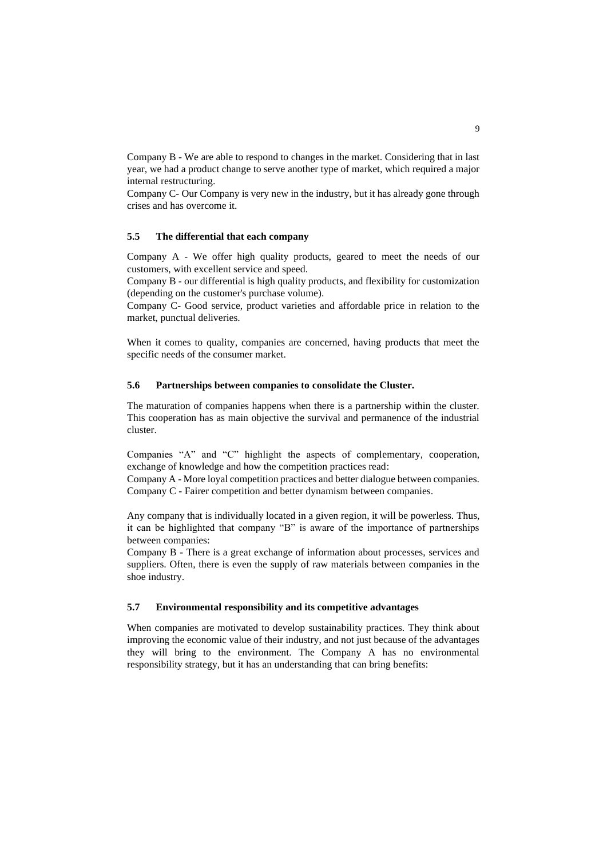Company B - We are able to respond to changes in the market. Considering that in last year, we had a product change to serve another type of market, which required a major internal restructuring.

Company C- Our Company is very new in the industry, but it has already gone through crises and has overcome it.

### **5.5 The differential that each company**

Company A - We offer high quality products, geared to meet the needs of our customers, with excellent service and speed.

Company B - our differential is high quality products, and flexibility for customization (depending on the customer's purchase volume).

Company C- Good service, product varieties and affordable price in relation to the market, punctual deliveries.

When it comes to quality, companies are concerned, having products that meet the specific needs of the consumer market.

#### **5.6 Partnerships between companies to consolidate the Cluster.**

The maturation of companies happens when there is a partnership within the cluster. This cooperation has as main objective the survival and permanence of the industrial cluster.

Companies "A" and "C" highlight the aspects of complementary, cooperation, exchange of knowledge and how the competition practices read:

Company A - More loyal competition practices and better dialogue between companies. Company C - Fairer competition and better dynamism between companies.

Any company that is individually located in a given region, it will be powerless. Thus, it can be highlighted that company "B" is aware of the importance of partnerships between companies:

Company B - There is a great exchange of information about processes, services and suppliers. Often, there is even the supply of raw materials between companies in the shoe industry.

#### **5.7 Environmental responsibility and its competitive advantages**

When companies are motivated to develop sustainability practices. They think about improving the economic value of their industry, and not just because of the advantages they will bring to the environment. The Company A has no environmental responsibility strategy, but it has an understanding that can bring benefits: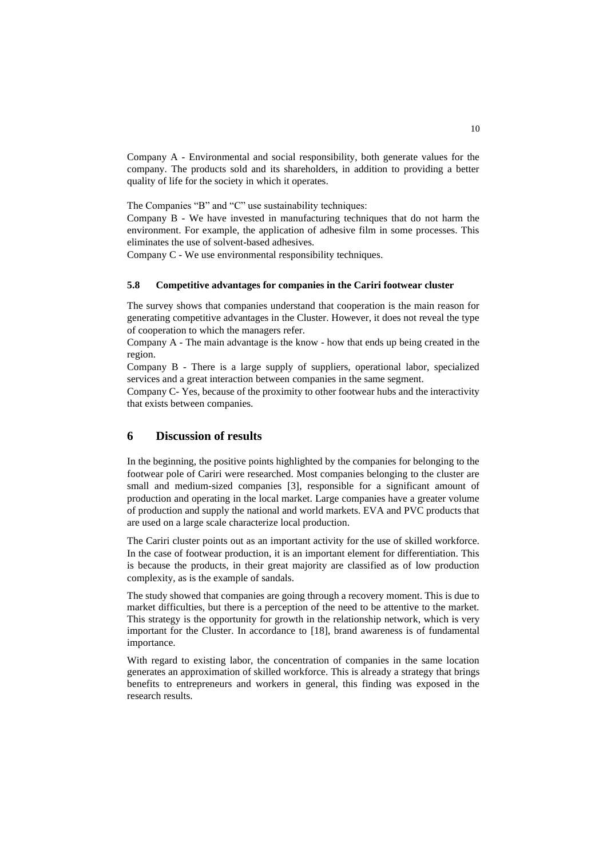Company A - Environmental and social responsibility, both generate values for the company. The products sold and its shareholders, in addition to providing a better quality of life for the society in which it operates.

The Companies "B" and "C" use sustainability techniques:

Company B - We have invested in manufacturing techniques that do not harm the environment. For example, the application of adhesive film in some processes. This eliminates the use of solvent-based adhesives.

Company C - We use environmental responsibility techniques.

#### **5.8 Competitive advantages for companies in the Cariri footwear cluster**

The survey shows that companies understand that cooperation is the main reason for generating competitive advantages in the Cluster. However, it does not reveal the type of cooperation to which the managers refer.

Company A - The main advantage is the know - how that ends up being created in the region.

Company B - There is a large supply of suppliers, operational labor, specialized services and a great interaction between companies in the same segment.

Company C- Yes, because of the proximity to other footwear hubs and the interactivity that exists between companies.

### **6 Discussion of results**

In the beginning, the positive points highlighted by the companies for belonging to the footwear pole of Cariri were researched. Most companies belonging to the cluster are small and medium-sized companies [3], responsible for a significant amount of production and operating in the local market. Large companies have a greater volume of production and supply the national and world markets. EVA and PVC products that are used on a large scale characterize local production.

The Cariri cluster points out as an important activity for the use of skilled workforce. In the case of footwear production, it is an important element for differentiation. This is because the products, in their great majority are classified as of low production complexity, as is the example of sandals.

The study showed that companies are going through a recovery moment. This is due to market difficulties, but there is a perception of the need to be attentive to the market. This strategy is the opportunity for growth in the relationship network, which is very important for the Cluster. In accordance to [18], brand awareness is of fundamental importance.

With regard to existing labor, the concentration of companies in the same location generates an approximation of skilled workforce. This is already a strategy that brings benefits to entrepreneurs and workers in general, this finding was exposed in the research results.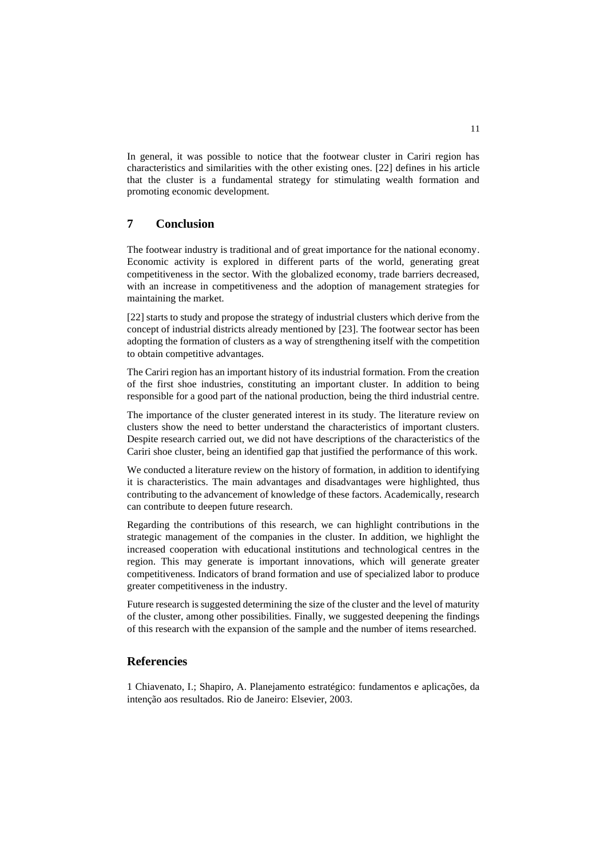In general, it was possible to notice that the footwear cluster in Cariri region has characteristics and similarities with the other existing ones. [22] defines in his article that the cluster is a fundamental strategy for stimulating wealth formation and promoting economic development.

## **7 Conclusion**

The footwear industry is traditional and of great importance for the national economy. Economic activity is explored in different parts of the world, generating great competitiveness in the sector. With the globalized economy, trade barriers decreased, with an increase in competitiveness and the adoption of management strategies for maintaining the market.

[22] starts to study and propose the strategy of industrial clusters which derive from the concept of industrial districts already mentioned by [23]. The footwear sector has been adopting the formation of clusters as a way of strengthening itself with the competition to obtain competitive advantages.

The Cariri region has an important history of its industrial formation. From the creation of the first shoe industries, constituting an important cluster. In addition to being responsible for a good part of the national production, being the third industrial centre.

The importance of the cluster generated interest in its study. The literature review on clusters show the need to better understand the characteristics of important clusters. Despite research carried out, we did not have descriptions of the characteristics of the Cariri shoe cluster, being an identified gap that justified the performance of this work.

We conducted a literature review on the history of formation, in addition to identifying it is characteristics. The main advantages and disadvantages were highlighted, thus contributing to the advancement of knowledge of these factors. Academically, research can contribute to deepen future research.

Regarding the contributions of this research, we can highlight contributions in the strategic management of the companies in the cluster. In addition, we highlight the increased cooperation with educational institutions and technological centres in the region. This may generate is important innovations, which will generate greater competitiveness. Indicators of brand formation and use of specialized labor to produce greater competitiveness in the industry.

Future research is suggested determining the size of the cluster and the level of maturity of the cluster, among other possibilities. Finally, we suggested deepening the findings of this research with the expansion of the sample and the number of items researched.

### **Referencies**

1 Chiavenato, I.; Shapiro, A. Planejamento estratégico: fundamentos e aplicações, da intenção aos resultados. Rio de Janeiro: Elsevier, 2003.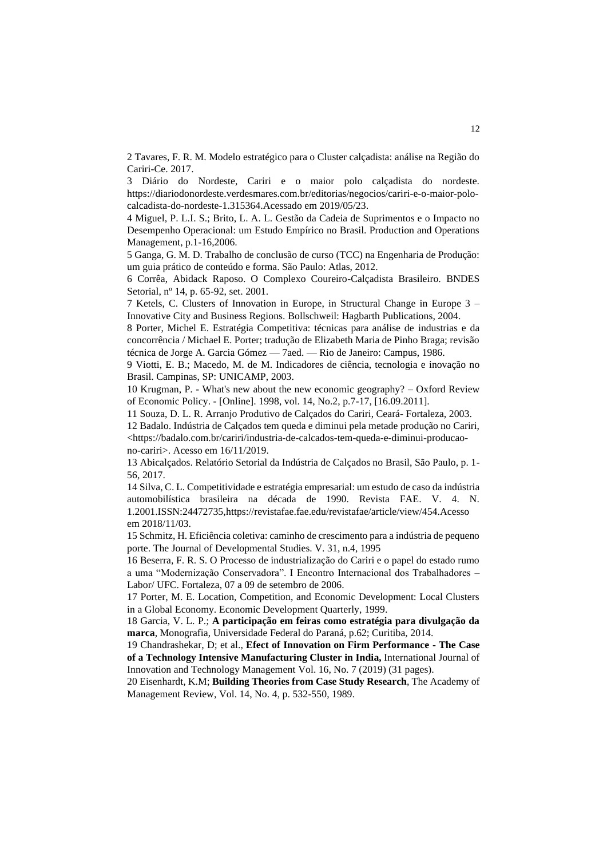2 Tavares, F. R. M. Modelo estratégico para o Cluster calçadista: análise na Região do Cariri-Ce. 2017.

3 Diário do Nordeste, Cariri e o maior polo calçadista do nordeste. https://diariodonordeste.verdesmares.com.br/editorias/negocios/cariri-e-o-maior-polocalcadista-do-nordeste-1.315364.Acessado em 2019/05/23.

4 Miguel, P. L.I. S.; Brito, L. A. L. Gestão da Cadeia de Suprimentos e o Impacto no Desempenho Operacional: um Estudo Empírico no Brasil. Production and Operations Management, p.1-16,2006.

5 Ganga, G. M. D. Trabalho de conclusão de curso (TCC) na Engenharia de Produção: um guia prático de conteúdo e forma. São Paulo: Atlas, 2012.

6 Corrêa, Abidack Raposo. O Complexo Coureiro-Calçadista Brasileiro. BNDES Setorial, nº 14, p. 65-92, set. 2001.

7 Ketels, C. Clusters of Innovation in Europe, in Structural Change in Europe 3 – Innovative City and Business Regions. Bollschweil: Hagbarth Publications, 2004.

8 Porter, Michel E. Estratégia Competitiva: técnicas para análise de industrias e da concorrência / Michael E. Porter; tradução de Elizabeth Maria de Pinho Braga; revisão técnica de Jorge A. Garcia Gómez — 7aed. — Rio de Janeiro: Campus, 1986.

9 Viotti, E. B.; Macedo, M. de M. Indicadores de ciência, tecnologia e inovação no Brasil. Campinas, SP: UNICAMP, 2003.

10 Krugman, P. - What's new about the new economic geography? – Oxford Review of Economic Policy. - [Online]. 1998, vol. 14, No.2, p.7-17, [16.09.2011].

11 Souza, D. L. R. Arranjo Produtivo de Calçados do Cariri, Ceará- Fortaleza, 2003.

12 Badalo. Indústria de Calçados tem queda e diminui pela metade produção no Cariri, [<https://badalo.com.br/cariri/industria-de-calcados-tem-queda-e-diminui-producao](https://badalo.com.br/cariri/industria-de-calcados-tem-queda-e-diminui-producao-no-cariri)[no-cariri>](https://badalo.com.br/cariri/industria-de-calcados-tem-queda-e-diminui-producao-no-cariri). Acesso em 16/11/2019.

13 Abicalçados. Relatório Setorial da Indústria de Calçados no Brasil, São Paulo, p. 1- 56, 2017.

14 Silva, C. L. Competitividade e estratégia empresarial: um estudo de caso da indústria automobilística brasileira na década de 1990. Revista FAE. V. 4. N. 1.2001.ISSN:2447273[5,https://revistafae.fae.edu/revistafae/article/view/454.Acesso](https://revistafae.fae.edu/revistafae/article/view/454.Acesso) em 2018/11/03.

15 Schmitz, H. Eficiência coletiva: caminho de crescimento para a indústria de pequeno porte. The Journal of Developmental Studies. V. 31, n.4, 1995

16 Beserra, F. R. S. O Processo de industrialização do Cariri e o papel do estado rumo a uma "Modernização Conservadora". I Encontro Internacional dos Trabalhadores – Labor/ UFC. Fortaleza, 07 a 09 de setembro de 2006.

17 Porter, M. E. Location, Competition, and Economic Development: Local Clusters in a Global Economy. Economic Development Quarterly, 1999.

18 Garcia, V. L. P.; **A participação em feiras como estratégia para divulgação da marca**, Monografia, Universidade Federal do Paraná, p.62; Curitiba, 2014.

19 Chandrashekar, D; et al., **Efect of Innovation on Firm Performance - The Case of a Technology Intensive Manufacturing Cluster in India,** International Journal of Innovation and Technology Management Vol. 16, No. 7 (2019) (31 pages).

20 Eisenhardt, K.M; **Building Theories from Case Study Research**, The Academy of Management Review, Vol. 14, No. 4, p. 532-550, 1989.